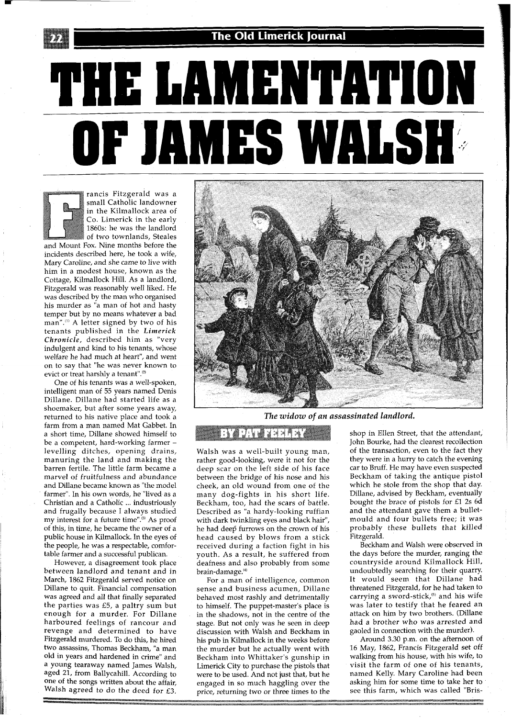# THE LAMENTATION **OF JAMES WALSH;;**



rancis Fitzgerald was a small Catholic landowner in the Kilmallock area of Co. Limerick in the early 1860s: he was the landlord of two townlands, Steales and Mount Fox. Nine months before the

incidents described here, he took a wife, Mary Caroline, and she came to live with him in a modest house, known as the Cottage, Kilmallock Hill. As a landlord, Fitzgerald was reasonably well liked. He was described by the man who organised his murder as "a man of hot and hasty temper but by no means whatever a bad man".<sup>(1)</sup> A letter signed by two of his tenants published in the *Limerick Chronicle,* described him as "very indulgent and kind to his tenants, whose welfare he had much at heart", and went on to say that "he was never known to evict or treat harshly a tenant".<sup>2</sup>

One of his tenants was a well-spoken, intelligent man of 55 years named Denis Dillane. Dillane had started life as a shoemaker, but after some years away, returned to his native place and took a farm from a man named Mat Gabbet. In a short time, Dillane showed himself to be a competent, hard-working farmer levelling ditches, opening drains, manuring the land and making the barren fertile. The little farm became a marvel of fruitfulness and abundance and Dillane became known as "the model farmer". In his own words, he "lived as a Christian and a Catholic ... industriously and frugally because I always studied my interest for a future time".'3' As proof of this, in time, he became the owner of a public house in Kilmallock. In the eyes of the people, he was a respectable, comfortable farmer and a successful publican.

However, a disagreement took place between landlord and tenant and in March, 1862 Fitzgerald served notice on Dillane to quit. Financial compensation was agreed and all that finally separated the parties was £5, a paltry sum but enough for a murder. For Dillane harboured feelings of rancour and revenge and determined to have Fitzgerald murdered. To do this, he hired two assassins, Thomas Beckham, "a man old in years and hardened in crime" and a young tearaway named James Walsh, aged 21, from Ballycahill. According to one of the songs written about the affair, Walsh agreed to do the deed for *£3.* 



*The widow of an assassinated landlord.* 

Walsh was a well-built young man, rather good-looking, were it not for the deep scar on the left side of his face between the bridge of his nose and his cheek, an old wound from one of the many dog-fights in his short life. Beckham, too, had the scars of battle. Described as "a hardy-looking ruffian with dark twinkling eyes and black hair", he had deep furrows on the crown of his head caused by blows from a stick received during a faction fight in his youth. As a result, he suffered from deafness and also probably from some

**PAT FEELEY AND** 

brain-damage.<sup>(4)</sup> For a man of intelligence, common sense and business acumen, Dillane behaved most rashly and detrimentally to himself. The puppet-master's place is in the shadows, not in the centre of the stage. But not only was he seen in deep discussion with Walsh and Beckham in his pub in Kilmallock in the weeks before the murder but he actually went with Beckham into Whittaker's gunship in Limerick City to purchase the pistols that were to be used. And not just that, but he engaged in so much haggling over the price, returning two or three times to the shop in Ellen Street, that the attendant, John Bourke, had the clearest recollection of the transaction, even to the fact they they were in a hurry to catch the evening car to Bruff. He may have even suspected Beckham of taking the antique pistol which he stole from the shop that day. Dillane, advised by Beckham, eventually bought the brace of pistols for El 2s 6d and the attendant gave them a bulletmould and four bullets free; it was probably these bullets that killed Fitzgerald.

Beckham and Walsh were observed in the days before the murder, ranging the countryside around Kilmallock Hill, undoubtedly searching for their quarry. It would seem that Dillane had threatened Fitzgerald, for he had taken to carrying a sword-stick,<sup>(5)</sup> and his wife was later to testify that he feared an attack on him by two brothers. (Dillane had a brother who was arrested and gaoled in connection with the murder).

Around 3.30 p.m. on the afternoon of 16 May, 1862, Francis Fitzgerald set off walking from his house, with his wife, to visit the farm of one of his tenants, named Kelly. Mary Caroline had been asking him for some time to take her to see this farm, which was called "Bris-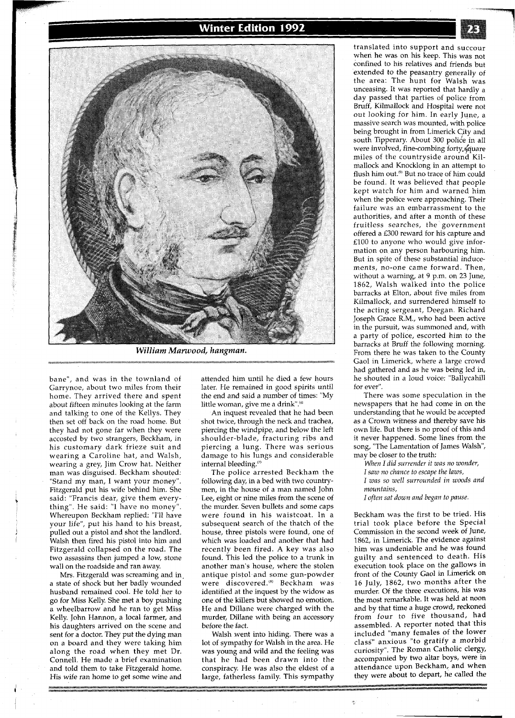# **Winter Edition 1992**



William Marwood, hangman.

bane", and was in the townland of Garrynoe, about two miles from their home. They arrived there and spent about fifteen minutes looking at the farm and talking to one of the Kellys. They then set off back on the road home. But they had not gone far when they were accosted by two strangers, Beckham, in his customary dark frieze suit and wearing a Caroline hat, and Walsh, wearing a grey, Jim Crow hat. Neither man was disguised. Beckham shouted: "Stand my man, I want your money". Fitzgerald put his wife behind him. She said: "Francis dear, give them everything". He said: "I have no money". Whereupon Beckham replied: "I'll have your life", put his hand to his breast, pulled out a pistol and shot the landlord. Walsh then fired his pistol into him and Fitzgerald collapsed on the road. The two assassins then jumped a low, stone wall on the roadside and ran away.

Mrs. Fitzgerald was screaming and in a state of shock but her badly wounded husband remained cool. He told her to go for Miss Kelly. She met a boy pushing a wheelbarrow and he ran to get Miss Kelly. John Hannon, a local farmer, and his daughters arrived on the scene and sent for a doctor. They put the dying man on a board and they were taking him along the road when they met Dr. Connell. He made a brief examination and told them to take Fitzgerald home. His wife ran home to get some wine and

attended him until he died a few hours later. He remained in good spirits until the end and said a number of times: "My little woman, give me a drink".<sup>6</sup>

An inquest revealed that he had been shot twice, through the neck and trachea, piercing the windpipe, and below the left shoulder-blade, fracturing ribs and piercing a lung. There was serious damage to his lungs and considerable internal bleeding.<sup>7</sup>

The police arrested Beckham the following day, in a bed with two countrymen, in the house of a man named John Lee, eight or nine miles from the scene of the murder. Seven bullets and some caps were found in his waistcoat. In a subsequent search of the thatch of the house, three pistols were found, one of which was loaded and another that had recently been fired. A key was also found. This led the police to a trunk in another man's house, where the stolen antique pistol and some gun-powder were discovered.<sup>(8)</sup> Beckham was identified at the inquest by the widow as one of the killers but showed no emotion. He and Dillane were charged with the murder, Dillane with being an accessory before the fact.

Walsh went into hiding. There was a lot of sympathy for Walsh in the area. He was young and wild and the feeling was that he had been drawn into the conspiracy. He was also the eldest of a large, fatherless family. This sympathy

translated into support and succour when he was on his keep. This was not confined to his relatives and friends but extended to the peasantry generally of the area: The hunt for Walsh was unceasing. It was reported that hardly a day passed that parties of police from Bruff, Kilmallock and Hospital were not out looking for him. In early June, a massive search was mounted, with police being brought in from Limerick City and south Tipperary. About 300 police in all were involved, fine-combing forty, square miles of the countryside around Kilmallock and Knocklong in an attempt to flush him out.<sup>(9)</sup> But no trace of him could be found. It was believed that people kept watch for him and warned him when the police were approaching. Their failure was an embarrassment to the authorities, and after a month of these fruitless searches, the government offered a £300 reward for his capture and £100 to anyone who would give information on any person harbouring him. But in spite of these substantial inducements, no-one came forward. Then, without a warning, at 9 p.m. on 23 June, 1862, Walsh walked into the police barracks at Elton, about five miles from Kilmallock, and surrendered himself to the acting sergeant, Deegan. Richard Joseph Grace R.M., who had been active in the pursuit, was summoned and, with a party of police, escorted him to the barracks at Bruff the following morning. From there he was taken to the County Gaol in Limerick, where a large crowd had gathered and as he was being led in, he shouted in a loud voice: "Ballycahill for ever".

There was some speculation in the newspapers that he had come in on the understanding that he would be accepted as a Crown witness and thereby save his own life. But there is no proof of this and it never happened. Some lines from the song, "The Lamentation of James Walsh", may be closer to the truth:

*When I did surrender it was no wonder, I saw no chance to escape the laws, I was so well surrounded in woods and mountains,* 

*I often sat down and began to pause.* 

Beckham was the first to be tried. His trial took place before the Special Commission in the second week of June, 1862, in Limerick. The evidence against him was undeniable and he was found guilty and sentenced to death. His execution took place on the gallows in front of the County Gaol in Limerick on 16 July, 1862, two months after the murder. Of the three executions, his was the most remarkable. It was held at noon and by that time a huge crowd, reckoned from four to five thousand, had assembled. A reporter noted that this included "many females of the lower class" anxious "to gratify a morbid curiosity". The Roman Catholic clergy, accompanied by two altar boys, were in attendance upon Beckham, and when they were about to depart, he called the